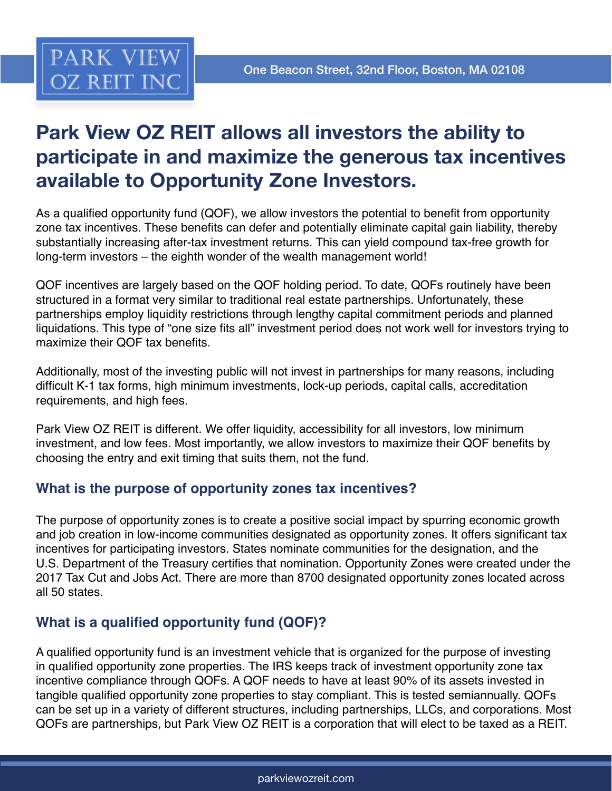

# **Park View OZ REIT allows all investors the ability to participate in and maximize the generous tax incentives available to Opportunity Zone Investors.**

As a qualified opportunity fund (QOF), we allow investors the potential to benefit from opportunity zone tax incentives. These benefits can defer and potentially eliminate capital gain liability, thereby substantially increasing after-tax investment returns. This can yield compound tax-free growth for long-term investors – the eighth wonder of the wealth management world!

QOF incentives are largely based on the QOF holding period. To date, QOFs routinely have been structured in a format very similar to traditional real estate partnerships. Unfortunately, these partnerships employ liquidity restrictions through lengthy capital commitment periods and planned liquidations. This type of "one size fits all" investment period does not work well for investors trying to maximize their QOF tax benefits.

Additionally, most of the investing public will not invest in partnerships for many reasons, including difficult K-1 tax forms, high minimum investments, lock-up periods, capital calls, accreditation requirements, and high fees.

Park View OZ REIT is different. We offer liquidity, accessibility for all investors, low minimum investment, and low fees. Most importantly, we allow investors to maximize their QOF benefits by choosing the entry and exit timing that suits them, not the fund.

# **What is the purpose of opportunity zones tax incentives?**

The purpose of opportunity zones is to create a positive social impact by spurring economic growth and job creation in low-income communities designated as opportunity zones. It offers significant tax incentives for participating investors. States nominate communities for the designation, and the U.S. Department of the Treasury certifies that nomination. Opportunity Zones were created under the 2017 Tax Cut and Jobs Act. There are more than 8700 designated opportunity zones located across all 50 states.

# **What is a qualified opportunity fund (QOF)?**

A qualified opportunity fund is an investment vehicle that is organized for the purpose of investing in qualified opportunity zone properties. The IRS keeps track of investment opportunity zone tax incentive compliance through QOFs. A QOF needs to have at least 90% of its assets invested in tangible qualified opportunity zone properties to stay compliant. This is tested semiannually. QOFs can be set up in a variety of different structures, including partnerships, LLCs, and corporations. Most QOFs are partnerships, but Park View OZ REIT is a corporation that will elect to be taxed as a REIT.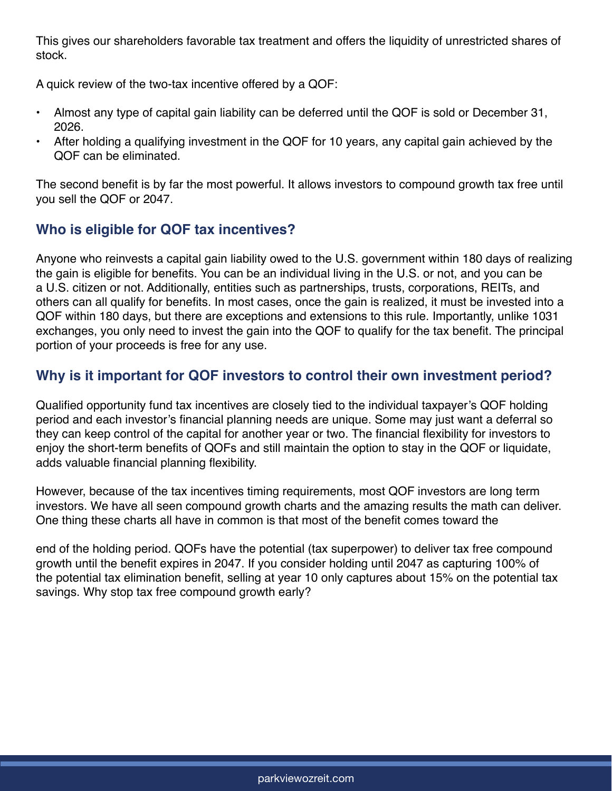This gives our shareholders favorable tax treatment and offers the liquidity of unrestricted shares of stock.

A quick review of the two-tax incentive offered by a QOF:

- Almost any type of capital gain liability can be deferred until the QOF is sold or December 31, 2026.
- After holding a qualifying investment in the QOF for 10 years, any capital gain achieved by the QOF can be eliminated.

The second benefit is by far the most powerful. It allows investors to compound growth tax free until you sell the QOF or 2047.

# **Who is eligible for QOF tax incentives?**

Anyone who reinvests a capital gain liability owed to the U.S. government within 180 days of realizing the gain is eligible for benefits. You can be an individual living in the U.S. or not, and you can be a U.S. citizen or not. Additionally, entities such as partnerships, trusts, corporations, REITs, and others can all qualify for benefits. In most cases, once the gain is realized, it must be invested into a QOF within 180 days, but there are exceptions and extensions to this rule. Importantly, unlike 1031 exchanges, you only need to invest the gain into the QOF to qualify for the tax benefit. The principal portion of your proceeds is free for any use.

# **Why is it important for QOF investors to control their own investment period?**

Qualified opportunity fund tax incentives are closely tied to the individual taxpayer's QOF holding period and each investor's financial planning needs are unique. Some may just want a deferral so they can keep control of the capital for another year or two. The financial flexibility for investors to enjoy the short-term benefits of QOFs and still maintain the option to stay in the QOF or liquidate, adds valuable financial planning flexibility.

However, because of the tax incentives timing requirements, most QOF investors are long term investors. We have all seen compound growth charts and the amazing results the math can deliver. One thing these charts all have in common is that most of the benefit comes toward the

end of the holding period. QOFs have the potential (tax superpower) to deliver tax free compound growth until the benefit expires in 2047. If you consider holding until 2047 as capturing 100% of the potential tax elimination benefit, selling at year 10 only captures about 15% on the potential tax savings. Why stop tax free compound growth early?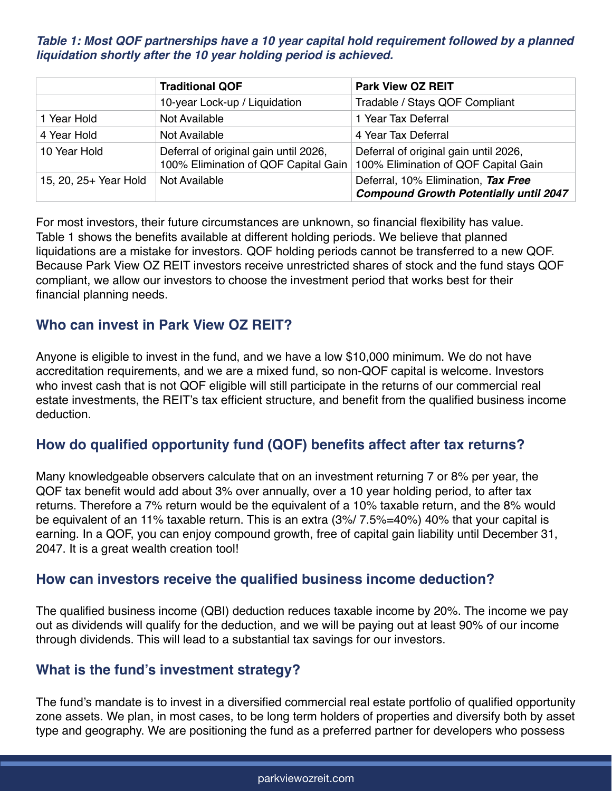#### **Table 1: Most QOF partnerships have a 10 year capital hold requirement followed by a planned liquidation shortly after the 10 year holding period is achieved.**

|                       | <b>Traditional QOF</b>                                                        | <b>Park View OZ REIT</b>                                                             |
|-----------------------|-------------------------------------------------------------------------------|--------------------------------------------------------------------------------------|
|                       | 10-year Lock-up / Liquidation                                                 | Tradable / Stays QOF Compliant                                                       |
| 1 Year Hold           | Not Available                                                                 | 1 Year Tax Deferral                                                                  |
| 4 Year Hold           | Not Available                                                                 | 4 Year Tax Deferral                                                                  |
| 10 Year Hold          | Deferral of original gain until 2026,<br>100% Elimination of QOF Capital Gain | Deferral of original gain until 2026,<br>100% Elimination of QOF Capital Gain        |
| 15, 20, 25+ Year Hold | Not Available                                                                 | Deferral, 10% Elimination, Tax Free<br><b>Compound Growth Potentially until 2047</b> |

For most investors, their future circumstances are unknown, so financial flexibility has value. Table 1 shows the benefits available at different holding periods. We believe that planned liquidations are a mistake for investors. QOF holding periods cannot be transferred to a new QOF. Because Park View OZ REIT investors receive unrestricted shares of stock and the fund stays QOF compliant, we allow our investors to choose the investment period that works best for their financial planning needs.

# **Who can invest in Park View OZ REIT?**

Anyone is eligible to invest in the fund, and we have a low \$10,000 minimum. We do not have accreditation requirements, and we are a mixed fund, so non-QOF capital is welcome. Investors who invest cash that is not QOF eligible will still participate in the returns of our commercial real estate investments, the REIT's tax efficient structure, and benefit from the qualified business income deduction.

### **How do qualified opportunity fund (QOF) benefits affect after tax returns?**

Many knowledgeable observers calculate that on an investment returning 7 or 8% per year, the QOF tax benefit would add about 3% over annually, over a 10 year holding period, to after tax returns. Therefore a 7% return would be the equivalent of a 10% taxable return, and the 8% would be equivalent of an 11% taxable return. This is an extra (3%/ 7.5%=40%) 40% that your capital is earning. In a QOF, you can enjoy compound growth, free of capital gain liability until December 31, 2047. It is a great wealth creation tool!

### **How can investors receive the qualified business income deduction?**

The qualified business income (QBI) deduction reduces taxable income by 20%. The income we pay out as dividends will qualify for the deduction, and we will be paying out at least 90% of our income through dividends. This will lead to a substantial tax savings for our investors.

### **What is the fund's investment strategy?**

The fund's mandate is to invest in a diversified commercial real estate portfolio of qualified opportunity zone assets. We plan, in most cases, to be long term holders of properties and diversify both by asset type and geography. We are positioning the fund as a preferred partner for developers who possess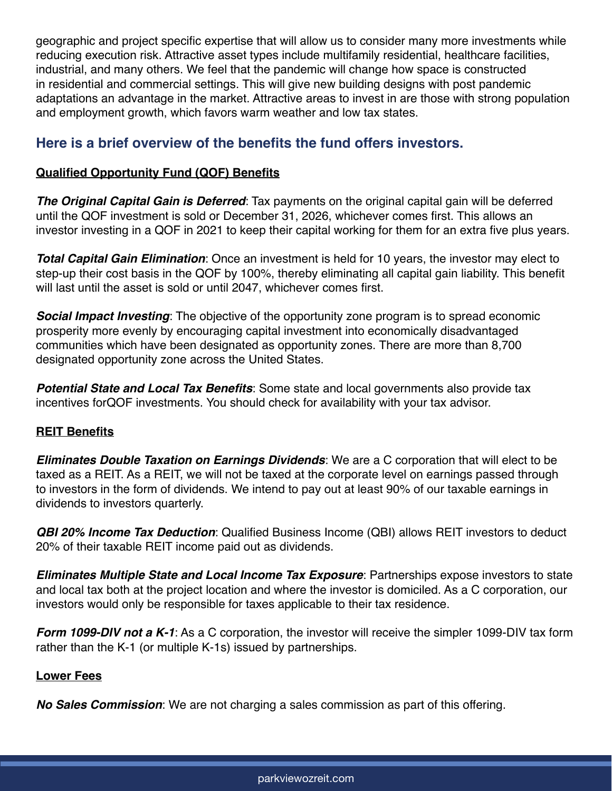geographic and project specific expertise that will allow us to consider many more investments while reducing execution risk. Attractive asset types include multifamily residential, healthcare facilities, industrial, and many others. We feel that the pandemic will change how space is constructed in residential and commercial settings. This will give new building designs with post pandemic adaptations an advantage in the market. Attractive areas to invest in are those with strong population and employment growth, which favors warm weather and low tax states.

## **Here is a brief overview of the benefits the fund offers investors.**

#### **Qualified Opportunity Fund (QOF) Benefits**

**The Original Capital Gain is Deferred**: Tax payments on the original capital gain will be deferred until the QOF investment is sold or December 31, 2026, whichever comes first. This allows an investor investing in a QOF in 2021 to keep their capital working for them for an extra five plus years.

**Total Capital Gain Elimination**: Once an investment is held for 10 years, the investor may elect to step-up their cost basis in the QOF by 100%, thereby eliminating all capital gain liability. This benefit will last until the asset is sold or until 2047, whichever comes first.

**Social Impact Investing**: The objective of the opportunity zone program is to spread economic prosperity more evenly by encouraging capital investment into economically disadvantaged communities which have been designated as opportunity zones. There are more than 8,700 designated opportunity zone across the United States.

**Potential State and Local Tax Benefits**: Some state and local governments also provide tax incentives forQOF investments. You should check for availability with your tax advisor.

#### **REIT Benefits**

**Eliminates Double Taxation on Earnings Dividends**: We are a C corporation that will elect to be taxed as a REIT. As a REIT, we will not be taxed at the corporate level on earnings passed through to investors in the form of dividends. We intend to pay out at least 90% of our taxable earnings in dividends to investors quarterly.

**QBI 20% Income Tax Deduction**: Qualified Business Income (QBI) allows REIT investors to deduct 20% of their taxable REIT income paid out as dividends.

**Eliminates Multiple State and Local Income Tax Exposure**: Partnerships expose investors to state and local tax both at the project location and where the investor is domiciled. As a C corporation, our investors would only be responsible for taxes applicable to their tax residence.

**Form 1099-DIV not a K-1**: As a C corporation, the investor will receive the simpler 1099-DIV tax form rather than the K-1 (or multiple K-1s) issued by partnerships.

#### **Lower Fees**

**No Sales Commission**: We are not charging a sales commission as part of this offering.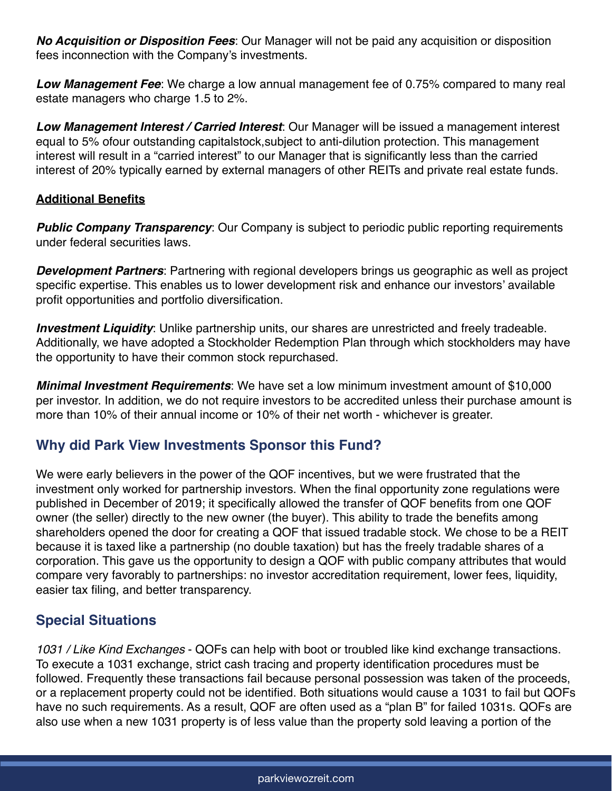**No Acquisition or Disposition Fees**: Our Manager will not be paid any acquisition or disposition fees inconnection with the Company's investments.

**Low Management Fee**: We charge a low annual management fee of 0.75% compared to many real estate managers who charge 1.5 to 2%.

**Low Management Interest / Carried Interest**: Our Manager will be issued a management interest equal to 5% ofour outstanding capitalstock,subject to anti-dilution protection. This management interest will result in a "carried interest" to our Manager that is significantly less than the carried interest of 20% typically earned by external managers of other REITs and private real estate funds.

#### **Additional Benefits**

**Public Company Transparency**: Our Company is subject to periodic public reporting requirements under federal securities laws.

**Development Partners**: Partnering with regional developers brings us geographic as well as project specific expertise. This enables us to lower development risk and enhance our investors' available profit opportunities and portfolio diversification.

**Investment Liquidity**: Unlike partnership units, our shares are unrestricted and freely tradeable. Additionally, we have adopted a Stockholder Redemption Plan through which stockholders may have the opportunity to have their common stock repurchased.

**Minimal Investment Requirements**: We have set a low minimum investment amount of \$10,000 per investor. In addition, we do not require investors to be accredited unless their purchase amount is more than 10% of their annual income or 10% of their net worth - whichever is greater.

# **Why did Park View Investments Sponsor this Fund?**

We were early believers in the power of the QOF incentives, but we were frustrated that the investment only worked for partnership investors. When the final opportunity zone regulations were published in December of 2019; it specifically allowed the transfer of QOF benefits from one QOF owner (the seller) directly to the new owner (the buyer). This ability to trade the benefits among shareholders opened the door for creating a QOF that issued tradable stock. We chose to be a REIT because it is taxed like a partnership (no double taxation) but has the freely tradable shares of a corporation. This gave us the opportunity to design a QOF with public company attributes that would compare very favorably to partnerships: no investor accreditation requirement, lower fees, liquidity, easier tax filing, and better transparency.

# **Special Situations**

*1031 / Like Kind Exchanges* - QOFs can help with boot or troubled like kind exchange transactions. To execute a 1031 exchange, strict cash tracing and property identification procedures must be followed. Frequently these transactions fail because personal possession was taken of the proceeds, or a replacement property could not be identified. Both situations would cause a 1031 to fail but QOFs have no such requirements. As a result, QOF are often used as a "plan B" for failed 1031s. QOFs are also use when a new 1031 property is of less value than the property sold leaving a portion of the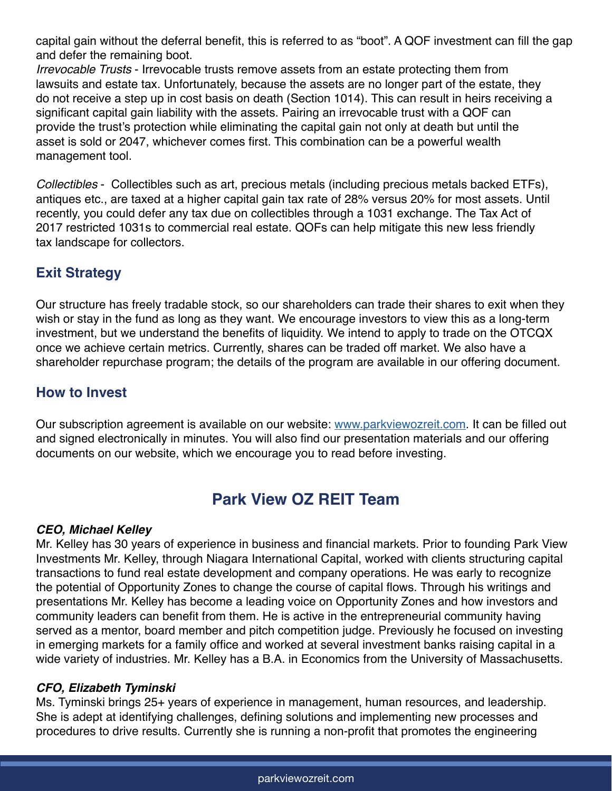capital gain without the deferral benefit, this is referred to as "boot". A QOF investment can fill the gap and defer the remaining boot.

*Irrevocable Trusts* - Irrevocable trusts remove assets from an estate protecting them from lawsuits and estate tax. Unfortunately, because the assets are no longer part of the estate, they do not receive a step up in cost basis on death (Section 1014). This can result in heirs receiving a significant capital gain liability with the assets. Pairing an irrevocable trust with a QOF can provide the trust's protection while eliminating the capital gain not only at death but until the asset is sold or 2047, whichever comes first. This combination can be a powerful wealth management tool.

*Collectibles* - Collectibles such as art, precious metals (including precious metals backed ETFs), antiques etc., are taxed at a higher capital gain tax rate of 28% versus 20% for most assets. Until recently, you could defer any tax due on collectibles through a 1031 exchange. The Tax Act of 2017 restricted 1031s to commercial real estate. QOFs can help mitigate this new less friendly tax landscape for collectors.

# **Exit Strategy**

Our structure has freely tradable stock, so our shareholders can trade their shares to exit when they wish or stay in the fund as long as they want. We encourage investors to view this as a long-term investment, but we understand the benefits of liquidity. We intend to apply to trade on the OTCQX once we achieve certain metrics. Currently, shares can be traded off market. We also have a shareholder repurchase program; the details of the program are available in our offering document.

# **How to Invest**

Our subscription agreement is available on our website: [www.parkviewozreit.com](http://www.parkviewozreit.com). It can be filled out and signed electronically in minutes. You will also find our presentation materials and our offering documents on our website, which we encourage you to read before investing.

# **Park View OZ REIT Team**

#### **CEO, Michael Kelley**

Mr. Kelley has 30 years of experience in business and financial markets. Prior to founding Park View Investments Mr. Kelley, through Niagara International Capital, worked with clients structuring capital transactions to fund real estate development and company operations. He was early to recognize the potential of Opportunity Zones to change the course of capital flows. Through his writings and presentations Mr. Kelley has become a leading voice on Opportunity Zones and how investors and community leaders can benefit from them. He is active in the entrepreneurial community having served as a mentor, board member and pitch competition judge. Previously he focused on investing in emerging markets for a family office and worked at several investment banks raising capital in a wide variety of industries. Mr. Kelley has a B.A. in Economics from the University of Massachusetts.

#### **CFO, Elizabeth Tyminski**

Ms. Tyminski brings 25+ years of experience in management, human resources, and leadership. She is adept at identifying challenges, defining solutions and implementing new processes and procedures to drive results. Currently she is running a non-profit that promotes the engineering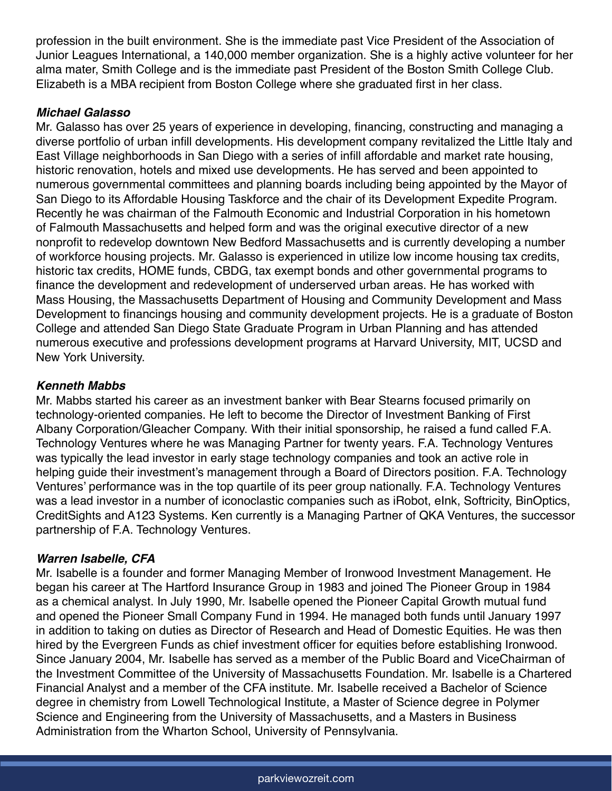profession in the built environment. She is the immediate past Vice President of the Association of Junior Leagues International, a 140,000 member organization. She is a highly active volunteer for her alma mater, Smith College and is the immediate past President of the Boston Smith College Club. Elizabeth is a MBA recipient from Boston College where she graduated first in her class.

#### **Michael Galasso**

Mr. Galasso has over 25 years of experience in developing, financing, constructing and managing a diverse portfolio of urban infill developments. His development company revitalized the Little Italy and East Village neighborhoods in San Diego with a series of infill affordable and market rate housing, historic renovation, hotels and mixed use developments. He has served and been appointed to numerous governmental committees and planning boards including being appointed by the Mayor of San Diego to its Affordable Housing Taskforce and the chair of its Development Expedite Program. Recently he was chairman of the Falmouth Economic and Industrial Corporation in his hometown of Falmouth Massachusetts and helped form and was the original executive director of a new nonprofit to redevelop downtown New Bedford Massachusetts and is currently developing a number of workforce housing projects. Mr. Galasso is experienced in utilize low income housing tax credits, historic tax credits, HOME funds, CBDG, tax exempt bonds and other governmental programs to finance the development and redevelopment of underserved urban areas. He has worked with Mass Housing, the Massachusetts Department of Housing and Community Development and Mass Development to financings housing and community development projects. He is a graduate of Boston College and attended San Diego State Graduate Program in Urban Planning and has attended numerous executive and professions development programs at Harvard University, MIT, UCSD and New York University.

#### **Kenneth Mabbs**

Mr. Mabbs started his career as an investment banker with Bear Stearns focused primarily on technology-oriented companies. He left to become the Director of Investment Banking of First Albany Corporation/Gleacher Company. With their initial sponsorship, he raised a fund called F.A. Technology Ventures where he was Managing Partner for twenty years. F.A. Technology Ventures was typically the lead investor in early stage technology companies and took an active role in helping guide their investment's management through a Board of Directors position. F.A. Technology Ventures' performance was in the top quartile of its peer group nationally. F.A. Technology Ventures was a lead investor in a number of iconoclastic companies such as iRobot, eInk, Softricity, BinOptics, CreditSights and A123 Systems. Ken currently is a Managing Partner of QKA Ventures, the successor partnership of F.A. Technology Ventures.

#### **Warren Isabelle, CFA**

Mr. Isabelle is a founder and former Managing Member of Ironwood Investment Management. He began his career at The Hartford Insurance Group in 1983 and joined The Pioneer Group in 1984 as a chemical analyst. In July 1990, Mr. Isabelle opened the Pioneer Capital Growth mutual fund and opened the Pioneer Small Company Fund in 1994. He managed both funds until January 1997 in addition to taking on duties as Director of Research and Head of Domestic Equities. He was then hired by the Evergreen Funds as chief investment officer for equities before establishing Ironwood. Since January 2004, Mr. Isabelle has served as a member of the Public Board and ViceChairman of the Investment Committee of the University of Massachusetts Foundation. Mr. Isabelle is a Chartered Financial Analyst and a member of the CFA institute. Mr. Isabelle received a Bachelor of Science degree in chemistry from Lowell Technological Institute, a Master of Science degree in Polymer Science and Engineering from the University of Massachusetts, and a Masters in Business Administration from the Wharton School, University of Pennsylvania.